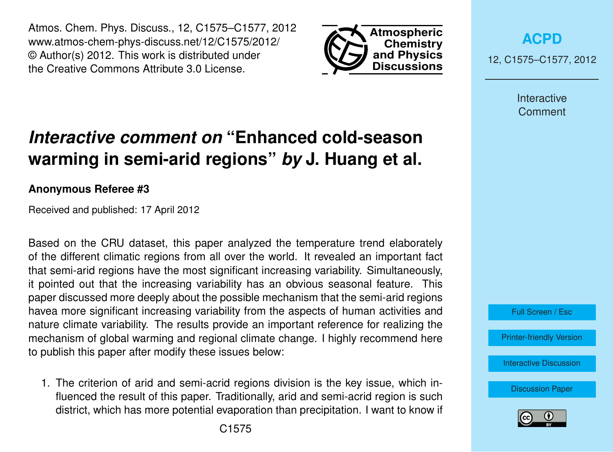Atmos. Chem. Phys. Discuss., 12, C1575–C1577, 2012 www.atmos-chem-phys-discuss.net/12/C1575/2012/ © Author(s) 2012. This work is distributed under the Creative Commons Attribute 3.0 License.



**[ACPD](http://www.atmos-chem-phys-discuss.net)**

12, C1575–C1577, 2012

Interactive **Comment** 

## *Interactive comment on* **"Enhanced cold-season warming in semi-arid regions"** *by* **J. Huang et al.**

## **Anonymous Referee #3**

Received and published: 17 April 2012

Based on the CRU dataset, this paper analyzed the temperature trend elaborately of the different climatic regions from all over the world. It revealed an important fact that semi-arid regions have the most significant increasing variability. Simultaneously, it pointed out that the increasing variability has an obvious seasonal feature. This paper discussed more deeply about the possible mechanism that the semi-arid regions havea more significant increasing variability from the aspects of human activities and nature climate variability. The results provide an important reference for realizing the mechanism of global warming and regional climate change. I highly recommend here to publish this paper after modify these issues below:

1. The criterion of arid and semi-acrid regions division is the key issue, which influenced the result of this paper. Traditionally, arid and semi-acrid region is such district, which has more potential evaporation than precipitation. I want to know if



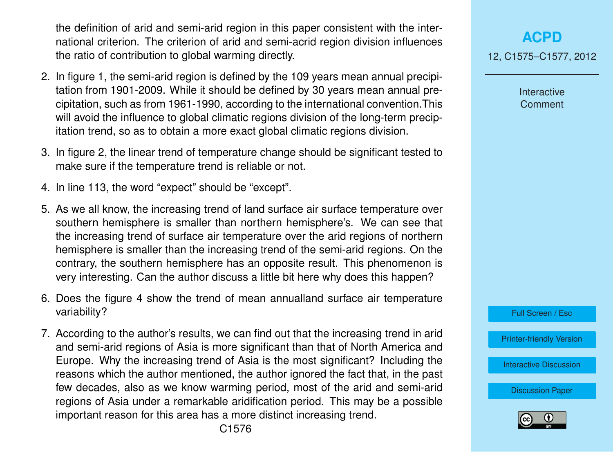the definition of arid and semi-arid region in this paper consistent with the international criterion. The criterion of arid and semi-acrid region division influences the ratio of contribution to global warming directly.

- 2. In figure 1, the semi-arid region is defined by the 109 years mean annual precipitation from 1901-2009. While it should be defined by 30 years mean annual precipitation, such as from 1961-1990, according to the international convention.This will avoid the influence to global climatic regions division of the long-term precipitation trend, so as to obtain a more exact global climatic regions division.
- 3. In figure 2, the linear trend of temperature change should be significant tested to make sure if the temperature trend is reliable or not.
- 4. In line 113, the word "expect" should be "except".
- 5. As we all know, the increasing trend of land surface air surface temperature over southern hemisphere is smaller than northern hemisphere's. We can see that the increasing trend of surface air temperature over the arid regions of northern hemisphere is smaller than the increasing trend of the semi-arid regions. On the contrary, the southern hemisphere has an opposite result. This phenomenon is very interesting. Can the author discuss a little bit here why does this happen?
- 6. Does the figure 4 show the trend of mean annualland surface air temperature variability?
- 7. According to the author's results, we can find out that the increasing trend in arid and semi-arid regions of Asia is more significant than that of North America and Europe. Why the increasing trend of Asia is the most significant? Including the reasons which the author mentioned, the author ignored the fact that, in the past few decades, also as we know warming period, most of the arid and semi-arid regions of Asia under a remarkable aridification period. This may be a possible important reason for this area has a more distinct increasing trend.

Interactive **Comment** 



[Printer-friendly Version](http://www.atmos-chem-phys-discuss.net/12/C1575/2012/acpd-12-C1575-2012-print.pdf)

[Interactive Discussion](http://www.atmos-chem-phys-discuss.net/12/4627/2012/acpd-12-4627-2012-discussion.html)

[Discussion Paper](http://www.atmos-chem-phys-discuss.net/12/4627/2012/acpd-12-4627-2012.pdf)